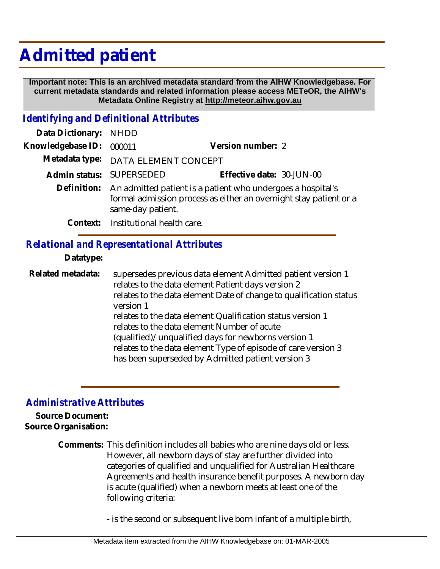## **Admitted patient**

 **Important note: This is an archived metadata standard from the AIHW Knowledgebase. For current metadata standards and related information please access METeOR, the AIHW's Metadata Online Registry at http://meteor.aihw.gov.au**

## *Identifying and Definitional Attributes*

| Data Dictionary: NHDD |                                                                                                                                                                   |                           |
|-----------------------|-------------------------------------------------------------------------------------------------------------------------------------------------------------------|---------------------------|
| Knowledgebase ID:     | 000011                                                                                                                                                            | Version number: 2         |
|                       | Metadata type: DATA ELEMENT CONCEPT                                                                                                                               |                           |
|                       | Admin status: SUPERSEDED                                                                                                                                          | Effective date: 30-JUN-00 |
|                       | Definition: An admitted patient is a patient who undergoes a hospital's<br>formal admission process as either an overnight stay patient or a<br>same-day patient. |                           |
|                       | Context: Institutional health care.                                                                                                                               |                           |

## *Relational and Representational Attributes*

**Datatype:**

supersedes previous data element Admitted patient version 1 relates to the data element Patient days version 2 relates to the data element Date of change to qualification status version 1 relates to the data element Qualification status version 1 relates to the data element Number of acute (qualified)/unqualified days for newborns version 1 relates to the data element Type of episode of care version 3 has been superseded by Admitted patient version 3 **Related metadata:**

## *Administrative Attributes*

**Source Document: Source Organisation:**

> Comments: This definition includes all babies who are nine days old or less. However, all newborn days of stay are further divided into categories of qualified and unqualified for Australian Healthcare Agreements and health insurance benefit purposes. A newborn day is acute (qualified) when a newborn meets at least one of the following criteria:

> > - is the second or subsequent live born infant of a multiple birth,